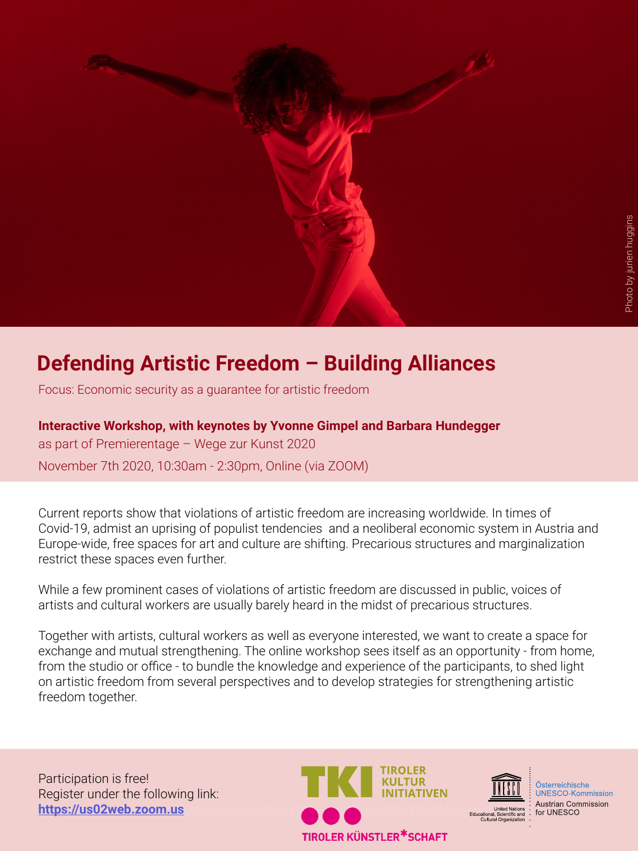

## **Defending Artistic Freedom – Building Alliances**

Focus: Economic security as a guarantee for artistic freedom

**Interactive Workshop, with keynotes by Yvonne Gimpel and Barbara Hundegger** as part of Premierentage – Wege zur Kunst 2020 November 7th 2020, 10:30am - 2:30pm, Online (via ZOOM)

Current reports show that violations of artistic freedom are increasing worldwide. In times of Covid-19, admist an uprising of populist tendencies and a neoliberal economic system in Austria and Europe-wide, free spaces for art and culture are shifting. Precarious structures and marginalization restrict these spaces even further.

While a few prominent cases of violations of artistic freedom are discussed in public, voices of artists and cultural workers are usually barely heard in the midst of precarious structures.

Together with artists, cultural workers as well as everyone interested, we want to create a space for exchange and mutual strengthening. The online workshop sees itself as an opportunity - from home, from the studio or office - to bundle the knowledge and experience of the participants, to shed light on artistic freedom from several perspectives and to develop strategies for strengthening artistic freedom together.

Participation is free! Register under the following link:





Österreichische **UNESCO-Kommission**